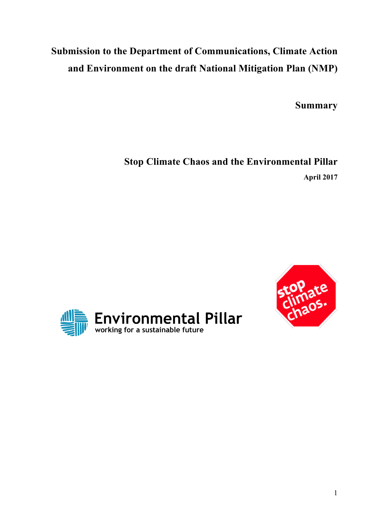# **Submission to the Department of Communications, Climate Action and Environment on the draft National Mitigation Plan (NMP)**

**Summary**

**Stop Climate Chaos and the Environmental Pillar April 2017**



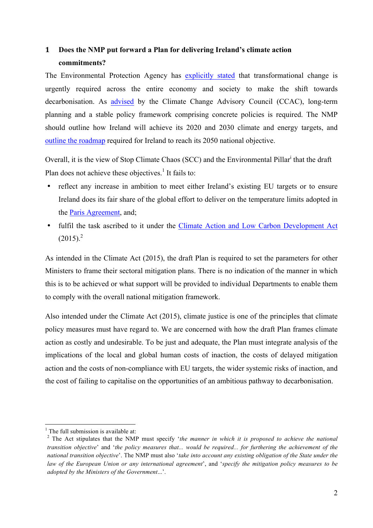# **1 Does the NMP put forward a Plan for delivering Ireland's climate action commitments?**

The Environmental Protection Agency has explicitly stated that transformational change is urgently required across the entire economy and society to make the shift towards decarbonisation. As advised by the Climate Change Advisory Council (CCAC), long-term planning and a stable policy framework comprising concrete policies is required. The NMP should outline how Ireland will achieve its 2020 and 2030 climate and energy targets, and outline the roadmap required for Ireland to reach its 2050 national objective.

Overall, it is the view of Stop Climate Chaos (SCC) and the Environmental Pillar<sup>i</sup> that the draft Plan does not achieve these objectives.<sup>1</sup> It fails to:

- reflect any increase in ambition to meet either Ireland's existing EU targets or to ensure Ireland does its fair share of the global effort to deliver on the temperature limits adopted in the Paris Agreement, and;
- fulfil the task ascribed to it under the Climate Action and Low Carbon Development Act  $(2015)^2$

As intended in the Climate Act (2015), the draft Plan is required to set the parameters for other Ministers to frame their sectoral mitigation plans. There is no indication of the manner in which this is to be achieved or what support will be provided to individual Departments to enable them to comply with the overall national mitigation framework.

Also intended under the Climate Act (2015), climate justice is one of the principles that climate policy measures must have regard to. We are concerned with how the draft Plan frames climate action as costly and undesirable. To be just and adequate, the Plan must integrate analysis of the implications of the local and global human costs of inaction, the costs of delayed mitigation action and the costs of non-compliance with EU targets, the wider systemic risks of inaction, and the cost of failing to capitalise on the opportunities of an ambitious pathway to decarbonisation.

 $<sup>1</sup>$  The full submission is available at:</sup>

<sup>2</sup> The Act stipulates that the NMP must specify '*the manner in which it is proposed to achieve the national transition objective*' and '*the policy measures that... would be required... for furthering the achievement of the national transition objective*'. The NMP must also '*take into account any existing obligation of the State under the law of the European Union or any international agreement*', and '*specify the mitigation policy measures to be adopted by the Ministers of the Government*...'.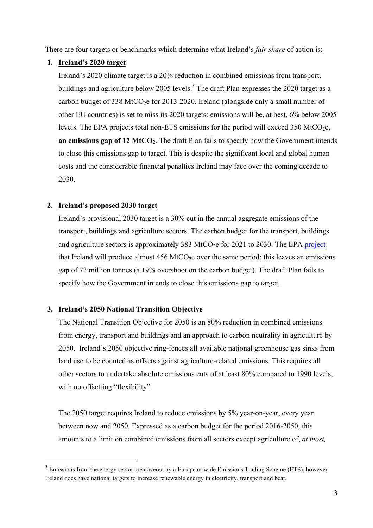There are four targets or benchmarks which determine what Ireland's *fair share* of action is:

# **1. Ireland's 2020 target**

Ireland's 2020 climate target is a 20% reduction in combined emissions from transport, buildings and agriculture below 2005 levels.<sup>3</sup> The draft Plan expresses the 2020 target as a carbon budget of 338 MtCO<sub>2</sub>e for 2013-2020. Ireland (alongside only a small number of other EU countries) is set to miss its 2020 targets: emissions will be, at best, 6% below 2005 levels. The EPA projects total non-ETS emissions for the period will exceed 350 MtCO<sub>2</sub>e, **an emissions gap of 12 MtCO2**. The draft Plan fails to specify how the Government intends to close this emissions gap to target. This is despite the significant local and global human costs and the considerable financial penalties Ireland may face over the coming decade to 2030.

# **2. Ireland's proposed 2030 target**

Ireland's provisional 2030 target is a 30% cut in the annual aggregate emissions of the transport, buildings and agriculture sectors. The carbon budget for the transport, buildings and agriculture sectors is approximately 383 MtCO<sub>2</sub>e for 2021 to 2030. The EPA project that Ireland will produce almost  $456$  MtCO<sub>2</sub>e over the same period; this leaves an emissions gap of 73 million tonnes (a 19% overshoot on the carbon budget). The draft Plan fails to specify how the Government intends to close this emissions gap to target.

# **3. Ireland's 2050 National Transition Objective**

The National Transition Objective for 2050 is an 80% reduction in combined emissions from energy, transport and buildings and an approach to carbon neutrality in agriculture by 2050. Ireland's 2050 objective ring-fences all available national greenhouse gas sinks from land use to be counted as offsets against agriculture-related emissions. This requires all other sectors to undertake absolute emissions cuts of at least 80% compared to 1990 levels, with no offsetting "flexibility".

The 2050 target requires Ireland to reduce emissions by 5% year-on-year, every year, between now and 2050. Expressed as a carbon budget for the period 2016-2050, this amounts to a limit on combined emissions from all sectors except agriculture of, *at most,*

<sup>&</sup>lt;sup>3</sup> Emissions from the energy sector are covered by a European-wide Emissions Trading Scheme (ETS), however Ireland does have national targets to increase renewable energy in electricity, transport and heat.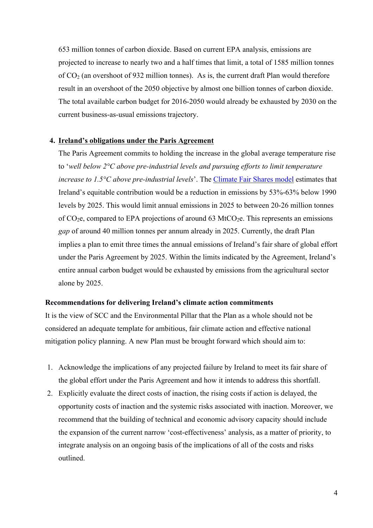653 million tonnes of carbon dioxide. Based on current EPA analysis, emissions are projected to increase to nearly two and a half times that limit, a total of 1585 million tonnes of  $CO<sub>2</sub>$  (an overshoot of 932 million tonnes). As is, the current draft Plan would therefore result in an overshoot of the 2050 objective by almost one billion tonnes of carbon dioxide. The total available carbon budget for 2016-2050 would already be exhausted by 2030 on the current business-as-usual emissions trajectory.

#### **4. Ireland's obligations under the Paris Agreement**

The Paris Agreement commits to holding the increase in the global average temperature rise to '*well below 2°C above pre-industrial levels and pursuing efforts to limit temperature increase to 1.5°C above pre-industrial levels*'. The Climate Fair Shares model estimates that Ireland's equitable contribution would be a reduction in emissions by 53%-63% below 1990 levels by 2025. This would limit annual emissions in 2025 to between 20-26 million tonnes of  $CO<sub>2</sub>e$ , compared to EPA projections of around 63 MtCO<sub>2</sub>e. This represents an emissions *gap* of around 40 million tonnes per annum already in 2025. Currently, the draft Plan implies a plan to emit three times the annual emissions of Ireland's fair share of global effort under the Paris Agreement by 2025. Within the limits indicated by the Agreement, Ireland's entire annual carbon budget would be exhausted by emissions from the agricultural sector alone by 2025.

#### **Recommendations for delivering Ireland's climate action commitments**

It is the view of SCC and the Environmental Pillar that the Plan as a whole should not be considered an adequate template for ambitious, fair climate action and effective national mitigation policy planning. A new Plan must be brought forward which should aim to:

- 1. Acknowledge the implications of any projected failure by Ireland to meet its fair share of the global effort under the Paris Agreement and how it intends to address this shortfall.
- 2. Explicitly evaluate the direct costs of inaction, the rising costs if action is delayed, the opportunity costs of inaction and the systemic risks associated with inaction. Moreover, we recommend that the building of technical and economic advisory capacity should include the expansion of the current narrow 'cost-effectiveness' analysis, as a matter of priority, to integrate analysis on an ongoing basis of the implications of all of the costs and risks outlined.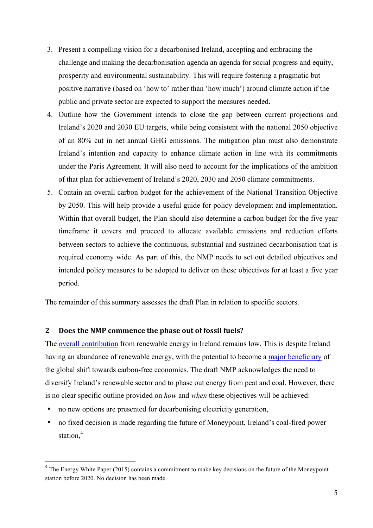- 3. Present a compelling vision for a decarbonised Ireland, accepting and embracing the challenge and making the decarbonisation agenda an agenda for social progress and equity, prosperity and environmental sustainability. This will require fostering a pragmatic but positive narrative (based on 'how to' rather than 'how much') around climate action if the public and private sector are expected to support the measures needed.
- 4. Outline how the Government intends to close the gap between current projections and Ireland's 2020 and 2030 EU targets, while being consistent with the national 2050 objective of an 80% cut in net annual GHG emissions. The mitigation plan must also demonstrate Ireland's intention and capacity to enhance climate action in line with its commitments under the Paris Agreement. It will also need to account for the implications of the ambition of that plan for achievement of Ireland's 2020, 2030 and 2050 climate commitments.
- 5. Contain an overall carbon budget for the achievement of the National Transition Objective by 2050. This will help provide a useful guide for policy development and implementation. Within that overall budget, the Plan should also determine a carbon budget for the five year timeframe it covers and proceed to allocate available emissions and reduction efforts between sectors to achieve the continuous, substantial and sustained decarbonisation that is required economy wide. As part of this, the NMP needs to set out detailed objectives and intended policy measures to be adopted to deliver on these objectives for at least a five year period.

The remainder of this summary assesses the draft Plan in relation to specific sectors.

#### **2** Does the NMP commence the phase out of fossil fuels?

The overall contribution from renewable energy in Ireland remains low. This is despite Ireland having an abundance of renewable energy, with the potential to become a major beneficiary of the global shift towards carbon-free economies. The draft NMP acknowledges the need to diversify Ireland's renewable sector and to phase out energy from peat and coal. However, there is no clear specific outline provided on *how* and *when* these objectives will be achieved:

- no new options are presented for decarbonising electricity generation,
- no fixed decision is made regarding the future of Moneypoint, Ireland's coal-fired power station, 4

<sup>&</sup>lt;sup>4</sup> The Energy White Paper (2015) contains a commitment to make key decisions on the future of the Moneypoint station before 2020. No decision has been made.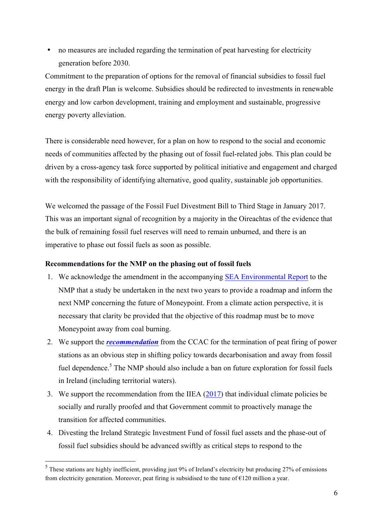• no measures are included regarding the termination of peat harvesting for electricity generation before 2030.

Commitment to the preparation of options for the removal of financial subsidies to fossil fuel energy in the draft Plan is welcome. Subsidies should be redirected to investments in renewable energy and low carbon development, training and employment and sustainable, progressive energy poverty alleviation.

There is considerable need however, for a plan on how to respond to the social and economic needs of communities affected by the phasing out of fossil fuel-related jobs. This plan could be driven by a cross-agency task force supported by political initiative and engagement and charged with the responsibility of identifying alternative, good quality, sustainable job opportunities.

We welcomed the passage of the Fossil Fuel Divestment Bill to Third Stage in January 2017. This was an important signal of recognition by a majority in the Oireachtas of the evidence that the bulk of remaining fossil fuel reserves will need to remain unburned, and there is an imperative to phase out fossil fuels as soon as possible.

## **Recommendations for the NMP on the phasing out of fossil fuels**

- 1. We acknowledge the amendment in the accompanying SEA Environmental Report to the NMP that a study be undertaken in the next two years to provide a roadmap and inform the next NMP concerning the future of Moneypoint. From a climate action perspective, it is necessary that clarity be provided that the objective of this roadmap must be to move Moneypoint away from coal burning.
- 2. We support the *recommendation* from the CCAC for the termination of peat firing of power stations as an obvious step in shifting policy towards decarbonisation and away from fossil fuel dependence.<sup>5</sup> The NMP should also include a ban on future exploration for fossil fuels in Ireland (including territorial waters).
- 3. We support the recommendation from the IIEA (2017) that individual climate policies be socially and rurally proofed and that Government commit to proactively manage the transition for affected communities.
- 4. Divesting the Ireland Strategic Investment Fund of fossil fuel assets and the phase-out of fossil fuel subsidies should be advanced swiftly as critical steps to respond to the

 <sup>5</sup> These stations are highly inefficient, providing just 9% of Ireland's electricity but producing 27% of emissions from electricity generation. Moreover, peat firing is subsidised to the tune of  $E120$  million a year.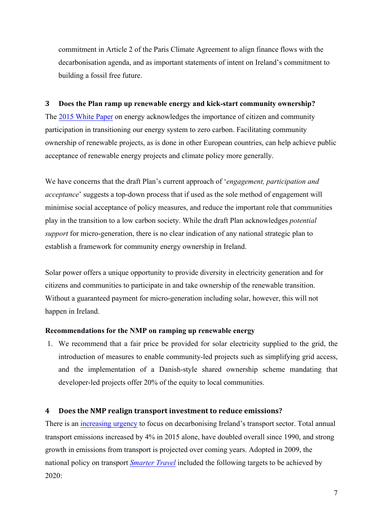commitment in Article 2 of the Paris Climate Agreement to align finance flows with the decarbonisation agenda, and as important statements of intent on Ireland's commitment to building a fossil free future.

## **3 Does the Plan ramp up renewable energy and kick-start community ownership?**

The 2015 White Paper on energy acknowledges the importance of citizen and community participation in transitioning our energy system to zero carbon. Facilitating community ownership of renewable projects, as is done in other European countries, can help achieve public acceptance of renewable energy projects and climate policy more generally.

We have concerns that the draft Plan's current approach of '*engagement, participation and acceptance*' suggests a top-down process that if used as the sole method of engagement will minimise social acceptance of policy measures, and reduce the important role that communities play in the transition to a low carbon society. While the draft Plan acknowledges *potential support* for micro-generation, there is no clear indication of any national strategic plan to establish a framework for community energy ownership in Ireland.

Solar power offers a unique opportunity to provide diversity in electricity generation and for citizens and communities to participate in and take ownership of the renewable transition. Without a guaranteed payment for micro-generation including solar, however, this will not happen in Ireland.

#### **Recommendations for the NMP on ramping up renewable energy**

1. We recommend that a fair price be provided for solar electricity supplied to the grid, the introduction of measures to enable community-led projects such as simplifying grid access, and the implementation of a Danish-style shared ownership scheme mandating that developer-led projects offer 20% of the equity to local communities.

#### **4** Does the NMP realign transport investment to reduce emissions?

There is an increasing urgency to focus on decarbonising Ireland's transport sector. Total annual transport emissions increased by 4% in 2015 alone, have doubled overall since 1990, and strong growth in emissions from transport is projected over coming years. Adopted in 2009, the national policy on transport *Smarter Travel* included the following targets to be achieved by 2020: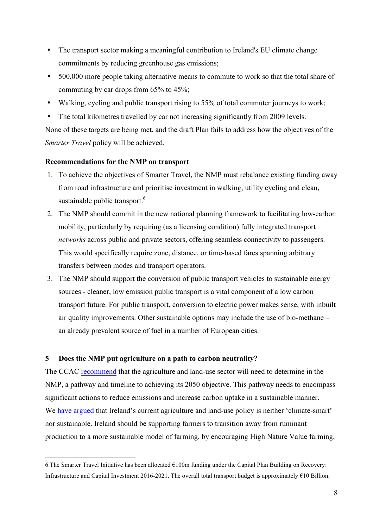- The transport sector making a meaningful contribution to Ireland's EU climate change commitments by reducing greenhouse gas emissions;
- 500,000 more people taking alternative means to commute to work so that the total share of commuting by car drops from 65% to 45%;
- Walking, cycling and public transport rising to 55% of total commuter journeys to work;
- The total kilometres travelled by car not increasing significantly from 2009 levels.

None of these targets are being met, and the draft Plan fails to address how the objectives of the *Smarter Travel* policy will be achieved.

#### **Recommendations for the NMP on transport**

- 1. To achieve the objectives of Smarter Travel, the NMP must rebalance existing funding away from road infrastructure and prioritise investment in walking, utility cycling and clean, sustainable public transport.<sup>6</sup>
- 2. The NMP should commit in the new national planning framework to facilitating low-carbon mobility, particularly by requiring (as a licensing condition) fully integrated transport *networks* across public and private sectors, offering seamless connectivity to passengers. This would specifically require zone, distance, or time-based fares spanning arbitrary transfers between modes and transport operators.
- 3. The NMP should support the conversion of public transport vehicles to sustainable energy sources - cleaner, low emission public transport is a vital component of a low carbon transport future. For public transport, conversion to electric power makes sense, with inbuilt air quality improvements. Other sustainable options may include the use of bio-methane – an already prevalent source of fuel in a number of European cities.

#### **5 Does the NMP put agriculture on a path to carbon neutrality?**

The CCAC recommend that the agriculture and land-use sector will need to determine in the NMP, a pathway and timeline to achieving its 2050 objective. This pathway needs to encompass significant actions to reduce emissions and increase carbon uptake in a sustainable manner. We have argued that Ireland's current agriculture and land-use policy is neither 'climate-smart' nor sustainable. Ireland should be supporting farmers to transition away from ruminant production to a more sustainable model of farming, by encouraging High Nature Value farming,

 <sup>6</sup> The Smarter Travel Initiative has been allocated €100m funding under the Capital Plan Building on Recovery: Infrastructure and Capital Investment 2016-2021. The overall total transport budget is approximately €10 Billion.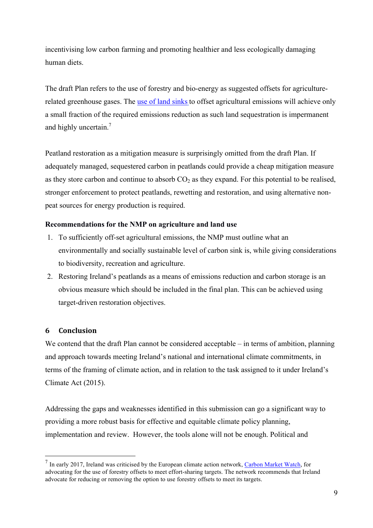incentivising low carbon farming and promoting healthier and less ecologically damaging human diets.

The draft Plan refers to the use of forestry and bio-energy as suggested offsets for agriculturerelated greenhouse gases. The use of land sinks to offset agricultural emissions will achieve only a small fraction of the required emissions reduction as such land sequestration is impermanent and highly uncertain.<sup>7</sup>

Peatland restoration as a mitigation measure is surprisingly omitted from the draft Plan. If adequately managed, sequestered carbon in peatlands could provide a cheap mitigation measure as they store carbon and continue to absorb  $CO<sub>2</sub>$  as they expand. For this potential to be realised, stronger enforcement to protect peatlands, rewetting and restoration, and using alternative nonpeat sources for energy production is required.

# **Recommendations for the NMP on agriculture and land use**

- 1. To sufficiently off-set agricultural emissions, the NMP must outline what an environmentally and socially sustainable level of carbon sink is, while giving considerations to biodiversity, recreation and agriculture.
- 2. Restoring Ireland's peatlands as a means of emissions reduction and carbon storage is an obvious measure which should be included in the final plan. This can be achieved using target-driven restoration objectives.

# **6 Conclusion**

We contend that the draft Plan cannot be considered acceptable – in terms of ambition, planning and approach towards meeting Ireland's national and international climate commitments, in terms of the framing of climate action, and in relation to the task assigned to it under Ireland's Climate Act (2015).

Addressing the gaps and weaknesses identified in this submission can go a significant way to providing a more robust basis for effective and equitable climate policy planning, implementation and review. However, the tools alone will not be enough. Political and

 $<sup>7</sup>$  In early 2017, Ireland was criticised by the European climate action network, Carbon Market Watch, for</sup> advocating for the use of forestry offsets to meet effort-sharing targets. The network recommends that Ireland advocate for reducing or removing the option to use forestry offsets to meet its targets.